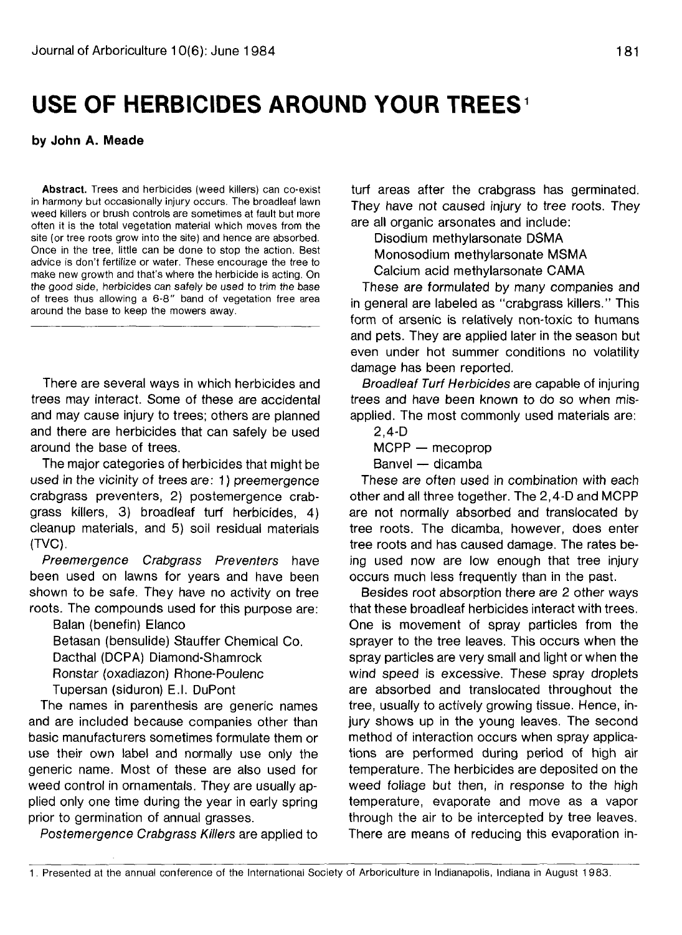## **USE OF HERBICIDES AROUND YOUR TREES**

## **by John A. Meade**

**Abstract.** Trees and herbicides (weed killers) can co-exist in harmony but occasionally injury occurs. The broadleaf lawn weed killers or brush controls are sometimes at fault but more often it is the total vegetation material which moves from the site (or tree roots grow into the site) and hence are absorbed. Once in the tree, little can be done to stop the action. Best advice is don't fertilize or water. These encourage the tree to make new growth and that's where the herbicide is acting. On the good side, herbicides can safely be used to trim the base of trees thus allowing a 6-8" band of vegetation free area around the base to keep the mowers away.

There are several ways in which herbicides and trees may interact. Some of these are accidental and may cause injury to trees; others are planned and there are herbicides that can safely be used around the base of trees.

The major categories of herbicides that might be used in the vicinity of trees are: 1) preemergence crabgrass preventers, 2) postemergence crabgrass killers, 3) broadleaf turf herbicides, 4) cleanup materials, and 5) soil residual materials (TVC).

Preemergence Crabgrass Preventers have been used on lawns for years and have been shown to be safe. They have no activity on tree roots. The compounds used for this purpose are:

Balan (benefin) Elanco

Betasan (bensulide) Stauffer Chemical Co. Dacthal (DCPA) Diamond-Shamrock Ronstar (oxadiazon) Rhone-Poulenc Tupersan (siduron) E.I. DuPont

The names in parenthesis are generic names and are included because companies other than basic manufacturers sometimes formulate them or use their own label and normally use only the generic name. Most of these are also used for weed control in ornamentals. They are usually applied only one time during the year in early spring prior to germination of annual grasses.

Postemergence Crabgrass Killers are applied to

turf areas after the crabgrass has germinated. They have not caused injury to tree roots. They are all organic arsonates and include:

Disodium methylarsonate DSMA Monosodium methylarsonate MSMA Calcium acid methylarsonate CAMA

These are formulated by many companies and in general are labeled as "crabgrass killers." This form of arsenic is relatively non-toxic to humans and pets. They are applied later in the season but even under hot summer conditions no volatility damage has been reported.

Broadleaf Turf Herbicides are capable of injuring trees and have been known to do so when misapplied. The most commonly used materials are:

2,4-D

MCPP — mecoprop

Banvel — dicamba

These are often used in combination with each other and all three together. The 2,4-D and MCPP are not normally absorbed and translocated by tree roots. The dicamba, however, does enter tree roots and has caused damage. The rates being used now are low enough that tree injury occurs much less frequently than in the past.

Besides root absorption there are 2 other ways that these broadleaf herbicides interact with trees. One is movement of spray particles from the sprayer to the tree leaves. This occurs when the spray particles are very small and light or when the wind speed is excessive. These spray droplets are absorbed and translocated throughout the tree, usually to actively growing tissue. Hence, injury shows up in the young leaves. The second method of interaction occurs when spray applications are performed during period of high air temperature. The herbicides are deposited on the weed foliage but then, in response to the high temperature, evaporate and move as a vapor through the air to be intercepted by tree leaves. There are means of reducing this evaporation in-

<sup>1.</sup> Presented at the annual conference of the International Society of Arboriculture in Indianapolis, Indiana in August 1983.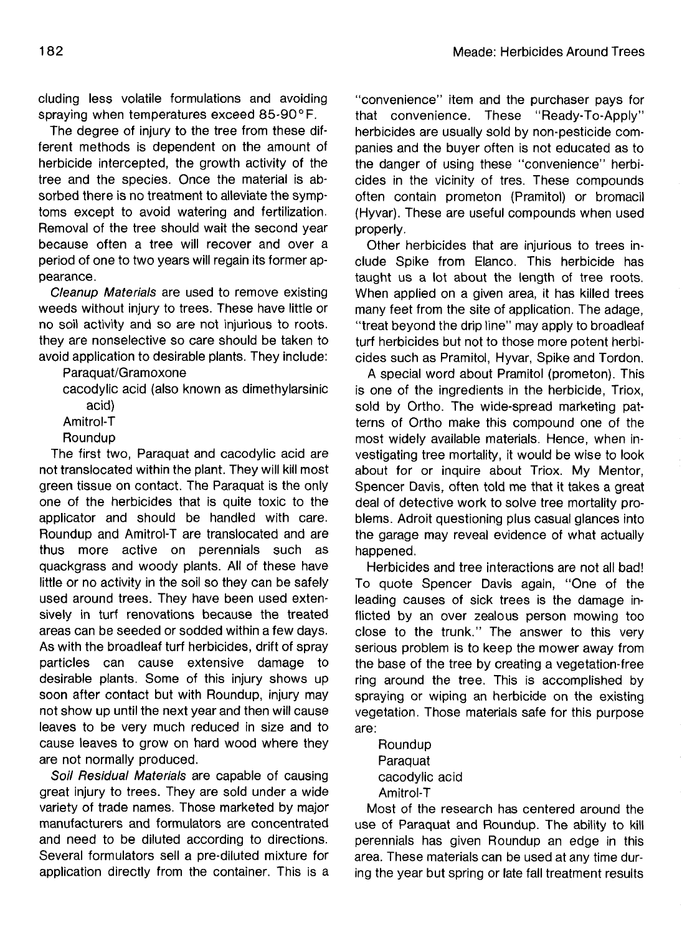eluding less volatile formulations and avoiding spraying when temperatures exceed 85-90°F.

The degree of injury to the tree from these different methods is dependent on the amount of herbicide intercepted, the growth activity of the tree and the species. Once the material is absorbed there is no treatment to alleviate the symptoms except to avoid watering and fertilization. Removal of the tree should wait the second year because often a tree will recover and over a period of one to two years will regain its former appearance.

Cleanup Materials are used to remove existing weeds without injury to trees. These have little or no soil activity and so are not injurious to roots. they are nonselective so care should be taken to avoid application to desirable plants. They include:

Paraquat/Gramoxone

cacodylic acid (also known as dimethylarsinic acid)

Amitrol-T

**Roundup** 

The first two, Paraquat and cacodylic acid are not translocated within the plant. They will kill most green tissue on contact. The Paraquat is the only one of the herbicides that is quite toxic to the applicator and should be handled with care. Roundup and Amitrol-T are translocated and are thus more active on perennials such as quackgrass and woody plants. All of these have little or no activity in the soil so they can be safely used around trees. They have been used extensively in turf renovations because the treated areas can be seeded or sodded within a few days. As with the broadleaf turf herbicides, drift of spray particles can cause extensive damage to desirable plants. Some of this injury shows up soon after contact but with Roundup, injury may not show up until the next year and then will cause leaves to be very much reduced in size and to cause leaves to grow on hard wood where they are not normally produced.

Soil Residual Materials are capable of causing great injury to trees. They are sold under a wide variety of trade names. Those marketed by major manufacturers and formulators are concentrated and need to be diluted according to directions. Several formulators sell a pre-diluted mixture for application directly from the container. This is a

"convenience" item and the purchaser pays for that convenience. These "Ready-To-Apply" herbicides are usually sold by non-pesticide companies and the buyer often is not educated as to the danger of using these "convenience" herbicides in the vicinity of tres. These compounds often contain prometon (Pramitol) or bromacil (Hyvar). These are useful compounds when used properly.

Other herbicides that are injurious to trees include Spike from Elanco. This herbicide has taught us a lot about the length of tree roots. When applied on a given area, it has killed trees many feet from the site of application. The adage, "treat beyond the drip line" may apply to broadleaf turf herbicides but not to those more potent herbicides such as Pramitol, Hyvar, Spike and Tordon.

A special word about Pramitol (prometon). This is one of the ingredients in the herbicide, Triox, sold by Ortho. The wide-spread marketing patterns of Ortho make this compound one of the most widely available materials. Hence, when investigating tree mortality, it would be wise to look about for or inquire about Triox. My Mentor, Spencer Davis, often told me that it takes a great deal of detective work to solve tree mortality problems. Adroit questioning plus casual glances into the garage may reveal evidence of what actually happened.

Herbicides and tree interactions are not all bad! To quote Spencer Davis again, "One of the leading causes of sick trees is the damage inflicted by an over zealous person mowing too close to the trunk." The answer to this very serious problem is to keep the mower away from the base of the tree by creating a vegetation-free ring around the tree. This is accomplished by spraying or wiping an herbicide on the existing vegetation. Those materials safe for this purpose are:

Roundup Paraquat cacodylic acid Amitrol-T

Most of the research has centered around the use of Paraquat and Roundup. The ability to kill perennials has given Roundup an edge in this area. These materials can be used at any time during the year but spring or late fall treatment results